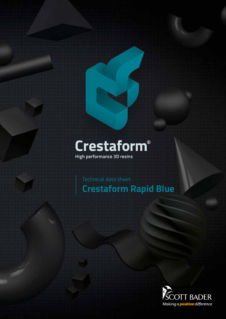# Crestaform®

High performance 3D resins

Technical data sheet **Crestaform Rapid Blue**

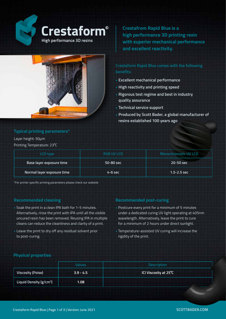

**Crestafrom Rapid Blue is a high performance 3D printing resin with superior mechanical performance and excellent reactivity.**



**Crestaform Rapid Blue comes with the following benefits:**

- **Excellent mechanical performance**
- **High reactivity and printing speed**
- **Rigorous test regime and best in industry quality assurance**
- **Technical service support**
- **Produced by Scott Bader, a global manufacturer of resins established 100 years ago**

### **Typical printing parameters\***

Layer height: 50μm

Printing Temperature: 23⁰C

| <b>LCD</b> type            | <b>RGB UV LCD</b> | <b>Monochromatic UV LCD</b> |
|----------------------------|-------------------|-----------------------------|
| Base layer exposure time   | 50-80 sec         | 20-50 sec                   |
| Normal layer exposure time | $4-6$ sec         | $1.5 - 2.5$ sec             |

\*For printer specific printing parameters please check our website

- Soak the print in a clean IPA bath for 1-5 minutes. Alternatively, rinse the print with IPA until all the visible uncured resin has been removed. Reusing IPA in multiple cleans can reduce the cleanliness and clarity of a print.
- Leave the print to dry off any residual solvent prior to post-curing.

#### **Recommended cleaning Recommended post-curing**

- Postcure every print for a minimum of 5 minutes under a dedicated curing UV light operating at 405nm wavelength. Alternatively, leave the print to cure for a minimum of 2 hours under direct sunlight.
- Temperature-assisted UV curing will increase the rigidity of the print.

#### **Physical properties**

|                                     | <b>Values</b> | <b>Description</b>    |
|-------------------------------------|---------------|-----------------------|
| Viscosity (Poise)                   | $3.9 - 4.5$   | ICI Viscosity at 25°C |
| Liquid Density (g/cm <sup>3</sup> ) | 1.08          |                       |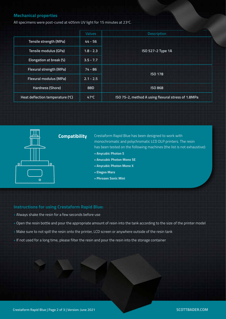#### **Mechanical properties**

All specimens were post-cured at 405nm UV light for 15 minutes at 23°C.

|                                  | <b>Values</b>  | <b>Description</b>                                 |
|----------------------------------|----------------|----------------------------------------------------|
| Tensile strength (MPa)           | $44 - 56$      | ISO 527-2 Type 1A                                  |
| <b>Tensile modulus (GPa)</b>     | $1.8 - 2.3$    |                                                    |
| Elongation at break (%)          | $3.5 - 7.7$    |                                                    |
| <b>Flexural strength (MPa)</b>   | $74 - 86$      | <b>ISO 178</b>                                     |
| <b>Flexural modulus (MPa)</b>    | $2.1 - 2.5$    |                                                    |
| <b>Hardness (Shore)</b>          | 88D            | <b>ISO 868</b>                                     |
| Heat deflection temperature (°C) | $47^{\circ}$ C | ISO 75-2, method A using flexural stress of 1.8MPa |



## **Compatibility**

Crestaform Rapid Blue has been designed to work with monochromatic and polychromatic LCD DLP printers. The resin has been tested on the following machines (the list is not exhaustive):

- **Anycubic Photon S**
- **Anucubic Photon Mono SE**
- **Anycubic Photon Mono X**
- **Elegoo Mars**
- **Phrozen Sonic Mini**

#### **Instructions for using Crestaform Rapid Blue:**

- Always shake the resin for a few seconds before use
- Open the resin bottle and pour the appropriate amount of resin into the tank according to the size of the printer model
- Make sure to not spill the resin onto the printer, LCD screen or anywhere outside of the resin tank
- If not used for a long time, please filter the resin and pour the resin into the storage container